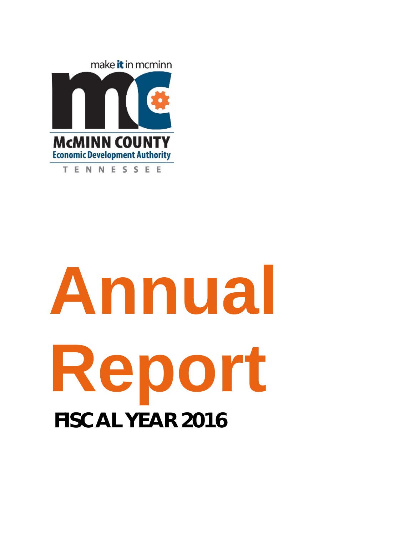

# **Annual Report FISCAL YEAR 2016**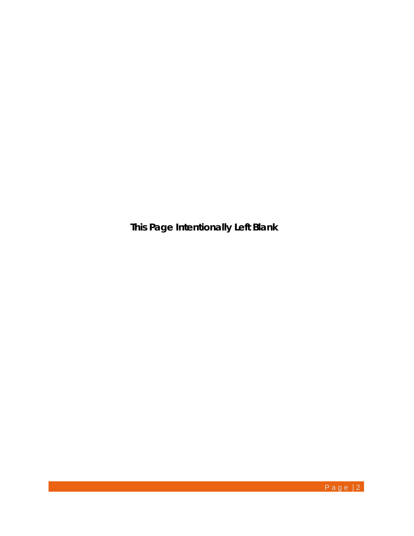**This Page Intentionally Left Blank**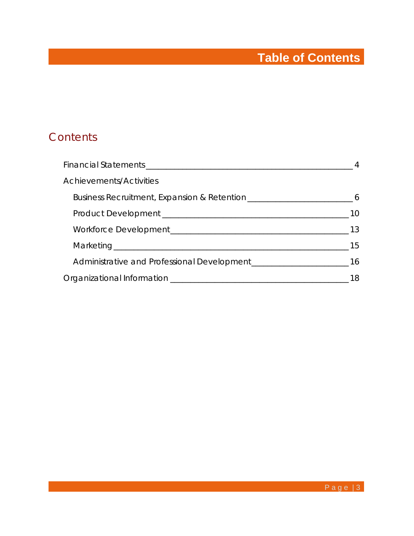## **Table of Contents**

## **Contents**

| <b>Achievements/Activities</b>                                                 |    |
|--------------------------------------------------------------------------------|----|
| Business Recruitment, Expansion & Retention _________________________________6 |    |
|                                                                                | 10 |
|                                                                                |    |
|                                                                                |    |
|                                                                                |    |
|                                                                                | 18 |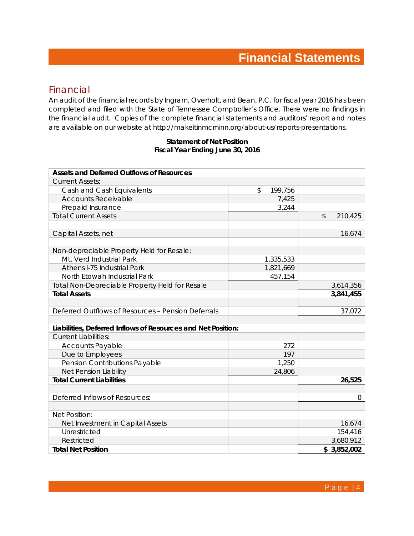## **Financial Statements**

#### Financial

An audit of the financial records by Ingram, Overholt, and Bean, P.C. for fiscal year 2016 has been completed and filed with the State of Tennessee Comptroller's Office. There were no findings in the financial audit. Copies of the complete financial statements and auditors' report and notes are available on our website at http://makeitinmcminn.org/about-us/reports-presentations.

#### **Statement of Net Position Fiscal Year Ending June 30, 2016**

| <b>Assets and Deferred Outflows of Resources</b>             |               |               |
|--------------------------------------------------------------|---------------|---------------|
| <b>Current Assets:</b>                                       |               |               |
| Cash and Cash Equivalents                                    | \$<br>199,756 |               |
| <b>Accounts Receivable</b>                                   | 7,425         |               |
| Prepaid Insurance                                            | 3,244         |               |
| <b>Total Current Assets</b>                                  |               | \$<br>210,425 |
|                                                              |               |               |
| Capital Assets, net                                          |               | 16,674        |
|                                                              |               |               |
| Non-depreciable Property Held for Resale:                    |               |               |
| Mt. Verd Industrial Park                                     | 1,335,533     |               |
| Athens I-75 Industrial Park                                  | 1,821,669     |               |
| North Etowah Industrial Park                                 | 457,154       |               |
| Total Non-Depreciable Property Held for Resale               |               | 3,614,356     |
| <b>Total Assets</b>                                          |               | 3,841,455     |
|                                                              |               |               |
| Deferred Outflows of Resources - Pension Deferrals           |               | 37,072        |
|                                                              |               |               |
| Liabilities, Deferred Inflows of Resources and Net Position: |               |               |
| <b>Current Liabilities:</b>                                  |               |               |
| <b>Accounts Payable</b>                                      | 272           |               |
| Due to Employees                                             | 197           |               |
| Pension Contributions Payable                                | 1,250         |               |
| Net Pension Liability                                        | 24,806        |               |
| <b>Total Current Liabilities</b>                             |               | 26,525        |
|                                                              |               |               |
| Deferred Inflows of Resources:                               |               | 0             |
|                                                              |               |               |
| Net Position:                                                |               |               |
| Net Investment in Capital Assets                             |               | 16,674        |
| Unrestricted                                                 |               | 154,416       |
| Restricted                                                   |               | 3,680,912     |
| <b>Total Net Position</b>                                    |               | \$3,852,002   |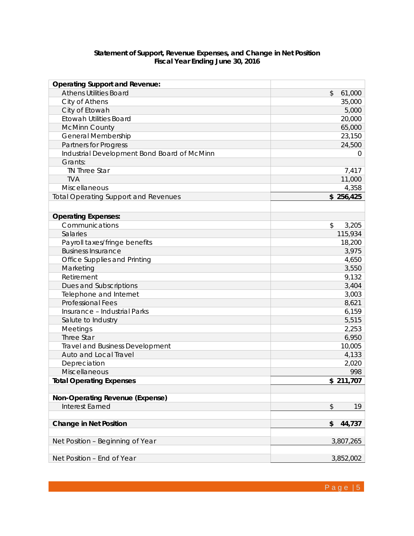#### **Statement of Support, Revenue Expenses, and Change in Net Position Fiscal Year Ending June 30, 2016**

| <b>Operating Support and Revenue:</b>       |                                    |
|---------------------------------------------|------------------------------------|
| <b>Athens Utilities Board</b>               | \$<br>61,000                       |
| City of Athens                              | 35,000                             |
| City of Etowah                              | 5,000                              |
| <b>Etowah Utilities Board</b>               | 20,000                             |
| <b>McMinn County</b>                        | 65,000                             |
| <b>General Membership</b>                   | 23,150                             |
| Partners for Progress                       | 24,500                             |
| Industrial Development Bond Board of McMinn | 0                                  |
| Grants:                                     |                                    |
| <b>TN Three Star</b>                        | 7,417                              |
| <b>TVA</b>                                  | 11,000                             |
| Miscellaneous                               | 4,358                              |
| <b>Total Operating Support and Revenues</b> | \$256,425                          |
|                                             |                                    |
| <b>Operating Expenses:</b>                  |                                    |
| Communications                              | $\boldsymbol{\mathsf{S}}$<br>3,205 |
| Salaries                                    | 115,934                            |
| Payroll taxes/fringe benefits               | 18,200                             |
| <b>Business Insurance</b>                   | 3,975                              |
| Office Supplies and Printing                | 4,650                              |
| Marketing                                   | 3,550                              |
| Retirement                                  | 9,132                              |
| <b>Dues and Subscriptions</b>               | 3,404                              |
| Telephone and Internet                      | 3,003                              |
| <b>Professional Fees</b>                    | 8,621                              |
| Insurance - Industrial Parks                | 6,159                              |
| Salute to Industry                          | 5,515                              |
| Meetings                                    | 2,253                              |
| Three Star                                  | 6,950                              |
| <b>Travel and Business Development</b>      | 10,005                             |
| Auto and Local Travel                       | 4,133                              |
| Depreciation                                | 2,020                              |
| Miscellaneous                               | 998                                |
| <b>Total Operating Expenses</b>             | \$211,707                          |
|                                             |                                    |
| Non-Operating Revenue (Expense)             |                                    |
| Interest Earned                             | $\updownarrow$<br>19               |
| <b>Change in Net Position</b>               | \$<br>44,737                       |
|                                             |                                    |
| Net Position - Beginning of Year            | 3,807,265                          |
| Net Position - End of Year                  | 3,852,002                          |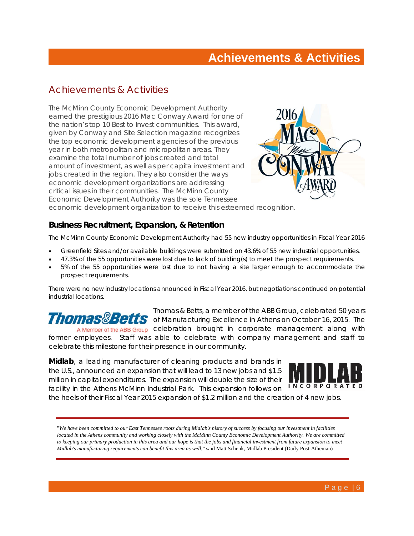## **Achievements & Activities**

#### Achievements & Activities

The McMinn County Economic Development Authority earned the prestigious 2016 Mac Conway Award for one of the nation's top 10 Best to Invest communities. This award, given by Conway and Site Selection magazine recognizes the top economic development agencies of the previous year in both metropolitan and micropolitan areas. They examine the total number of jobs created and total amount of investment, as well as per capita investment and jobs created in the region. They also consider the ways economic development organizations are addressing critical issues in their communities. The McMinn County Economic Development Authority was the sole Tennessee



economic development organization to receive this esteemed recognition.

#### **Business Recruitment, Expansion, & Retention**

The McMinn County Economic Development Authority had 55 new industry opportunities in Fiscal Year 2016

- Greenfield Sites and/or available buildings were submitted on 43.6% of 55 new industrial opportunities.
- 47.3% of the 55 opportunities were lost due to lack of building(s) to meet the prospect requirements.
- 5% of the 55 opportunities were lost due to not having a site larger enough to accommodate the prospect requirements.

There were no new industry locations announced in Fiscal Year 2016, but negotiations continued on potential industrial locations.

Thomas & Betts, a member of the ABB Group, celebrated 50 years **Thomas&Betts** of Manufacturing Excellence in Athens on October 16, 2015. The A Member of the ABB Group celebration brought in corporate management along with former employees. Staff was able to celebrate with company management and staff to celebrate this milestone for their presence in our community.

**Midlab**, a leading manufacturer of cleaning products and brands in the U.S., announced an expansion that will lead to 13 new jobs and \$1.5 million in capital expenditures. The expansion will double the size of their facility in the Athens McMinn Industrial Park. This expansion follows on



the heels of their Fiscal Year 2015 expansion of \$1.2 million and the creation of 4 new jobs.

"*We have been committed to our East Tennessee roots during Midlab's history of success by focusing our investment in facilities located in the Athens community and working closely with the McMinn County Economic Development Authority. We are committed to keeping our primary production in this area and our hope is that the jobs and financial investment from future expansion to meet Midlab's manufacturing requirements can benefit this area as well,"* said Matt Schenk, Midlab President (Daily Post-Athenian)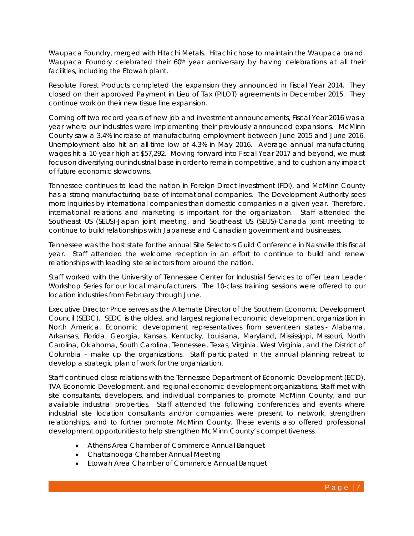Waupaca Foundry, merged with Hitachi Metals. Hitachi chose to maintain the Waupaca brand. Waupaca Foundry celebrated their 60<sup>th</sup> year anniversary by having celebrations at all their facilities, including the Etowah plant.

Resolute Forest Products completed the expansion they announced in Fiscal Year 2014. They closed on their approved Payment in Lieu of Tax (PILOT) agreements in December 2015. They continue work on their new tissue line expansion.

Coming off two record years of new job and investment announcements, Fiscal Year 2016 was a year where our industries were implementing their previously announced expansions. McMinn County saw a 3.4% increase of manufacturing employment between June 2015 and June 2016. Unemployment also hit an all-time low of 4.3% in May 2016. Average annual manufacturing wages hit a 10-year high at \$57,292. Moving forward into Fiscal Year 2017 and beyond, we must focus on diversifying our industrial base in order to remain competitive, and to cushion any impact of future economic slowdowns.

Tennessee continues to lead the nation in Foreign Direct Investment (FDI), and McMinn County has a strong manufacturing base of international companies. The Development Authority sees more inquiries by international companies than domestic companies in a given year. Therefore, international relations and marketing is important for the organization. Staff attended the Southeast US (SEUS)-Japan joint meeting, and Southeast US (SEUS)-Canada joint meeting to continue to build relationships with Japanese and Canadian government and businesses.

Tennessee was the host state for the annual Site Selectors Guild Conference in Nashville this fiscal year. Staff attended the welcome reception in an effort to continue to build and renew relationships with leading site selectors from around the nation.

Staff worked with the University of Tennessee Center for Industrial Services to offer Lean Leader Workshop Series for our local manufacturers. The 10-class training sessions were offered to our location industries from February through June.

Executive Director Price serves as the Alternate Director of the Southern Economic Development Council (SEDC). SEDC is the oldest and largest regional economic development organization in North America. Economic development representatives from seventeen states - Alabama, Arkansas, Florida, Georgia, Kansas, Kentucky, Louisiana, Maryland, Mississippi, Missouri, North Carolina, Oklahoma, South Carolina, Tennessee, Texas, Virginia, West Virginia, and the District of Columbia – make up the organizations. Staff participated in the annual planning retreat to develop a strategic plan of work for the organization.

Staff continued close relations with the Tennessee Department of Economic Development (ECD), TVA Economic Development, and regional economic development organizations. Staff met with site consultants, developers, and individual companies to promote McMinn County, and our available industrial properties. Staff attended the following conferences and events where industrial site location consultants and/or companies were present to network, strengthen relationships, and to further promote McMinn County. These events also offered professional development opportunities to help strengthen McMinn County's competitiveness.

- Athens Area Chamber of Commerce Annual Banquet
- Chattanooga Chamber Annual Meeting
- Etowah Area Chamber of Commerce Annual Banquet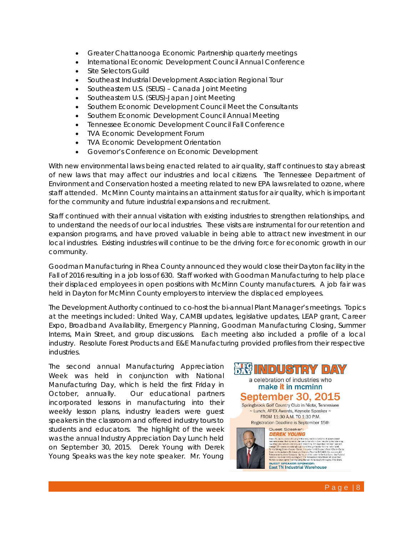- Greater Chattanooga Economic Partnership quarterly meetings
- International Economic Development Council Annual Conference
- Site Selectors Guild
- Southeast Industrial Development Association Regional Tour
- Southeastern U.S. (SEUS) Canada Joint Meeting
- Southeastern U.S. (SEUS)-Japan Joint Meeting
- Southern Economic Development Council Meet the Consultants
- Southern Economic Development Council Annual Meeting
- Tennessee Economic Development Council Fall Conference
- TVA Economic Development Forum
- TVA Economic Development Orientation
- Governor's Conference on Economic Development

With new environmental laws being enacted related to air quality, staff continues to stay abreast of new laws that may affect our industries and local citizens. The Tennessee Department of Environment and Conservation hosted a meeting related to new EPA laws related to ozone, where staff attended. McMinn County maintains an attainment status for air quality, which is important for the community and future industrial expansions and recruitment.

Staff continued with their annual visitation with existing industries to strengthen relationships, and to understand the needs of our local industries. These visits are instrumental for our retention and expansion programs, and have proved valuable in being able to attract new investment in our local industries. Existing industries will continue to be the driving force for economic growth in our community.

Goodman Manufacturing in Rhea County announced they would close their Dayton facility in the Fall of 2016 resulting in a job loss of 630. Staff worked with Goodman Manufacturing to help place their displaced employees in open positions with McMinn County manufacturers. A job fair was held in Dayton for McMinn County employers to interview the displaced employees.

The Development Authority continued to co-host the bi-annual Plant Manager's meetings. Topics at the meetings included: United Way, CAMBI updates, legislative updates, LEAP grant, Career Expo, Broadband Availability, Emergency Planning, Goodman Manufacturing Closing, Summer Interns, Main Street, and group discussions. Each meeting also included a profile of a local industry. Resolute Forest Products and E&E Manufacturing provided profiles from their respective industries.

The second annual Manufacturing Appreciation Week was held in conjunction with National Manufacturing Day, which is held the first Friday in October, annually. Our educational partners incorporated lessons in manufacturing into their weekly lesson plans, industry leaders were guest speakers in the classroom and offered industry tours to students and educators. The highlight of the week was the annual Industry Appreciation Day Lunch held on September 30, 2015. Derek Young with Derek Young Speaks was the key note speaker. Mr. Young



 $P$  a g e  $| 8$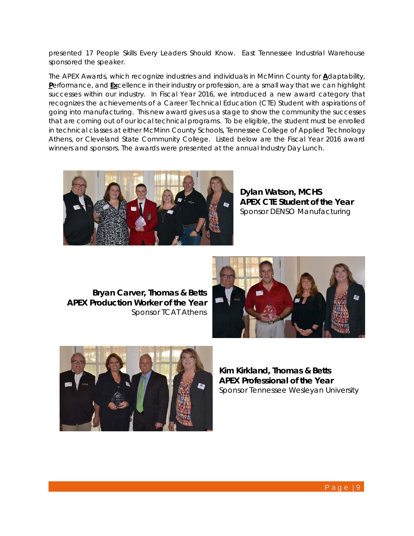presented 17 People Skills Every Leaders Should Know. East Tennessee Industrial Warehouse sponsored the speaker.

The APEX Awards, which recognize industries and individuals in McMinn County for **A**daptability, **P**erformance, and **Ex**cellence in their industry or profession, are a small way that we can highlight successes within our industry. In Fiscal Year 2016, we introduced a new award category that recognizes the achievements of a Career Technical Education (CTE) Student with aspirations of going into manufacturing. This new award gives us a stage to show the community the successes that are coming out of our local technical programs. To be eligible, the student must be enrolled in technical classes at either McMinn County Schools, Tennessee College of Applied Technology Athens, or Cleveland State Community College. Listed below are the Fiscal Year 2016 award winners and sponsors. The awards were presented at the annual Industry Day Lunch.



**Dylan Watson, MCHS APEX CTE Student of the Year**  Sponsor DENSO Manufacturing

**Bryan Carver, Thomas & Betts APEX Production Worker of the Year** Sponsor TCAT Athens





**Kim Kirkland, Thomas & Betts APEX Professional of the Year**  Sponsor Tennessee Wesleyan University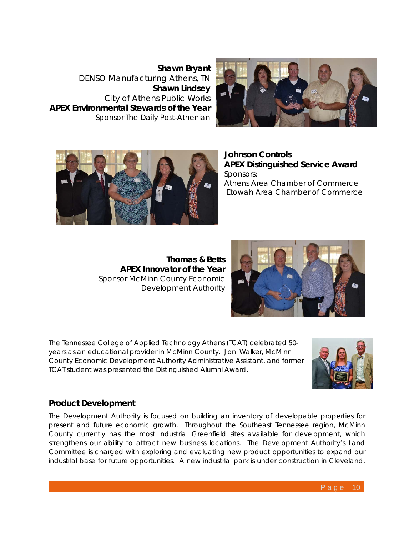**Shawn Bryant**  DENSO Manufacturing Athens, TN **Shawn Lindsey**  City of Athens Public Works **APEX Environmental Stewards of the Year**  Sponsor The Daily Post-Athenian





**Johnson Controls APEX Distinguished Service Award**  Sponsors: Athens Area Chamber of Commerce Etowah Area Chamber of Commerce

**Thomas & Betts APEX Innovator of the Year**  Sponsor McMinn County Economic Development Authority



The Tennessee College of Applied Technology Athens (TCAT) celebrated 50 years as an educational provider in McMinn County. Joni Walker, McMinn County Economic Development Authority Administrative Assistant, and former TCAT student was presented the Distinguished Alumni Award.



#### **Product Development**

The Development Authority is focused on building an inventory of developable properties for present and future economic growth. Throughout the Southeast Tennessee region, McMinn County currently has the most industrial Greenfield sites available for development, which strengthens our ability to attract new business locations. The Development Authority's Land Committee is charged with exploring and evaluating new product opportunities to expand our industrial base for future opportunities. A new industrial park is under construction in Cleveland,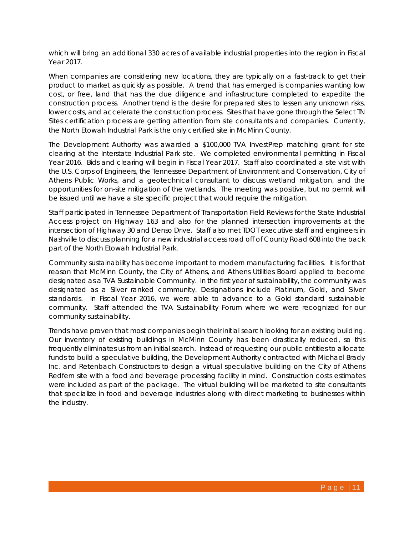which will bring an additional 330 acres of available industrial properties into the region in Fiscal Year 2017.

When companies are considering new locations, they are typically on a fast-track to get their product to market as quickly as possible. A trend that has emerged is companies wanting low cost, or free, land that has the due diligence and infrastructure completed to expedite the construction process. Another trend is the desire for prepared sites to lessen any unknown risks, lower costs, and accelerate the construction process. Sites that have gone through the Select TN Sites certification process are getting attention from site consultants and companies. Currently, the North Etowah Industrial Park is the only certified site in McMinn County.

The Development Authority was awarded a \$100,000 TVA InvestPrep matching grant for site clearing at the Interstate Industrial Park site. We completed environmental permitting in Fiscal Year 2016. Bids and clearing will begin in Fiscal Year 2017. Staff also coordinated a site visit with the U.S. Corps of Engineers, the Tennessee Department of Environment and Conservation, City of Athens Public Works, and a geotechnical consultant to discuss wetland mitigation, and the opportunities for on-site mitigation of the wetlands. The meeting was positive, but no permit will be issued until we have a site specific project that would require the mitigation.

Staff participated in Tennessee Department of Transportation Field Reviews for the State Industrial Access project on Highway 163 and also for the planned intersection improvements at the intersection of Highway 30 and Denso Drive. Staff also met TDOT executive staff and engineers in Nashville to discuss planning for a new industrial access road off of County Road 608 into the back part of the North Etowah Industrial Park.

Community sustainability has become important to modern manufacturing facilities. It is for that reason that McMinn County, the City of Athens, and Athens Utilities Board applied to become designated as a TVA Sustainable Community. In the first year of sustainability, the community was designated as a Silver ranked community. Designations include Platinum, Gold, and Silver standards. In Fiscal Year 2016, we were able to advance to a Gold standard sustainable community. Staff attended the TVA Sustainability Forum where we were recognized for our community sustainability.

Trends have proven that most companies begin their initial search looking for an existing building. Our inventory of existing buildings in McMinn County has been drastically reduced, so this frequently eliminates us from an initial search. Instead of requesting our public entities to allocate funds to build a speculative building, the Development Authority contracted with Michael Brady Inc. and Retenbach Constructors to design a virtual speculative building on the City of Athens Redfern site with a food and beverage processing facility in mind. Construction costs estimates were included as part of the package. The virtual building will be marketed to site consultants that specialize in food and beverage industries along with direct marketing to businesses within the industry.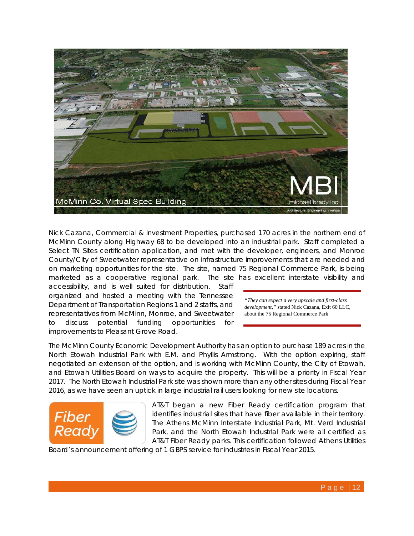

Nick Cazana, Commercial & Investment Properties, purchased 170 acres in the northern end of McMinn County along Highway 68 to be developed into an industrial park. Staff completed a Select TN Sites certification application, and met with the developer, engineers, and Monroe County/City of Sweetwater representative on infrastructure improvements that are needed and on marketing opportunities for the site. The site, named 75 Regional Commerce Park, is being marketed as a cooperative regional park. The site has excellent interstate visibility and

accessibility, and is well suited for distribution. Staff organized and hosted a meeting with the Tennessee Department of Transportation Regions 1 and 2 staffs, and representatives from McMinn, Monroe, and Sweetwater to discuss potential funding opportunities for improvements to Pleasant Grove Road.

*"They can expect a very upscale and first-class development,"* stated Nick Cazana, Exit 60 LLC, about the 75 Regional Commerce Park

The McMinn County Economic Development Authority has an option to purchase 189 acres in the North Etowah Industrial Park with E.M. and Phyllis Armstrong. With the option expiring, staff negotiated an extension of the option, and is working with McMinn County, the City of Etowah, and Etowah Utilities Board on ways to acquire the property. This will be a priority in Fiscal Year 2017. The North Etowah Industrial Park site was shown more than any other sites during Fiscal Year 2016, as we have seen an uptick in large industrial rail users looking for new site locations.



AT&T began a new Fiber Ready certification program that identifies industrial sites that have fiber available in their territory. The Athens McMinn Interstate Industrial Park, Mt. Verd Industrial Park, and the North Etowah Industrial Park were all certified as AT&T Fiber Ready parks. This certification followed Athens Utilities

Board's announcement offering of 1 GBPS service for industries in Fiscal Year 2015.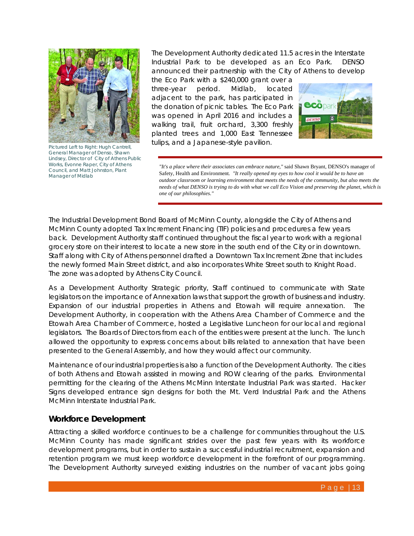

*Pictured Left to Right: Hugh Cantrell, General Manager of Denso, Shawn Lindsey, Director of City of Athens Public Works, Evonne Raper, City of Athens Council, and Matt Johnston, Plant Manager of Midlab*

The Development Authority dedicated 11.5 acres in the Interstate Industrial Park to be developed as an Eco Park. DENSO announced their partnership with the City of Athens to develop

the Eco Park with a \$240,000 grant over a three-year period. Midlab, located adjacent to the park, has participated in the donation of picnic tables. The Eco Park was opened in April 2016 and includes a walking trail, fruit orchard, 3,300 freshly planted trees and 1,000 East Tennessee tulips, and a Japanese-style pavilion.



*"It's a place where their associates can embrace nature,"* said Shawn Bryant, DENSO's manager of Safety, Health and Environment*. "It really opened my eyes to how cool it would be to have an outdoor classroom or learning environment that meets the needs of the community, but also meets the needs of what DENSO is trying to do with what we call Eco Vision and preserving the planet, which is one of our philosophies."*

The Industrial Development Bond Board of McMinn County, alongside the City of Athens and McMinn County adopted Tax Increment Financing (TIF) policies and procedures a few years back. Development Authority staff continued throughout the fiscal year to work with a regional grocery store on their interest to locate a new store in the south end of the City or in downtown. Staff along with City of Athens personnel drafted a Downtown Tax Increment Zone that includes the newly formed Main Street district, and also incorporates White Street south to Knight Road. The zone was adopted by Athens City Council.

As a Development Authority Strategic priority, Staff continued to communicate with State legislators on the importance of Annexation laws that support the growth of business and industry. Expansion of our industrial properties in Athens and Etowah will require annexation. The Development Authority, in cooperation with the Athens Area Chamber of Commerce and the Etowah Area Chamber of Commerce, hosted a Legislative Luncheon for our local and regional legislators. The Boards of Directors from each of the entities were present at the lunch. The lunch allowed the opportunity to express concerns about bills related to annexation that have been presented to the General Assembly, and how they would affect our community.

Maintenance of our industrial properties is also a function of the Development Authority. The cities of both Athens and Etowah assisted in mowing and ROW clearing of the parks. Environmental permitting for the clearing of the Athens McMinn Interstate Industrial Park was started. Hacker Signs developed entrance sign designs for both the Mt. Verd Industrial Park and the Athens McMinn Interstate Industrial Park.

#### **Workforce Development**

Attracting a skilled workforce continues to be a challenge for communities throughout the U.S. McMinn County has made significant strides over the past few years with its workforce development programs, but in order to sustain a successful industrial recruitment, expansion and retention program we must keep workforce development in the forefront of our programming. The Development Authority surveyed existing industries on the number of vacant jobs going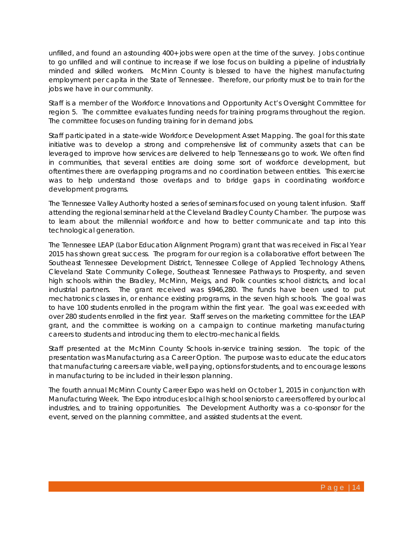unfilled, and found an astounding 400+ jobs were open at the time of the survey. Jobs continue to go unfilled and will continue to increase if we lose focus on building a pipeline of industrially minded and skilled workers. McMinn County is blessed to have the highest manufacturing employment per capita in the State of Tennessee. Therefore, our priority must be to train for the jobs we have in our community.

Staff is a member of the Workforce Innovations and Opportunity Act's Oversight Committee for region 5. The committee evaluates funding needs for training programs throughout the region. The committee focuses on funding training for in demand jobs.

Staff participated in a state-wide Workforce Development Asset Mapping. The goal for this state initiative was to develop a strong and comprehensive list of community assets that can be leveraged to improve how services are delivered to help Tennesseans go to work. We often find in communities, that several entities are doing some sort of workforce development, but oftentimes there are overlapping programs and no coordination between entities. This exercise was to help understand those overlaps and to bridge gaps in coordinating workforce development programs.

The Tennessee Valley Authority hosted a series of seminars focused on young talent infusion. Staff attending the regional seminar held at the Cleveland Bradley County Chamber. The purpose was to learn about the millennial workforce and how to better communicate and tap into this technological generation.

The Tennessee LEAP (Labor Education Alignment Program) grant that was received in Fiscal Year 2015 has shown great success. The program for our region is a collaborative effort between The Southeast Tennessee Development District, Tennessee College of Applied Technology Athens, Cleveland State Community College, Southeast Tennessee Pathways to Prosperity, and seven high schools within the Bradley, McMinn, Meigs, and Polk counties school districts, and local industrial partners. The grant received was \$946,280. The funds have been used to put mechatronics classes in, or enhance existing programs, in the seven high schools. The goal was to have 100 students enrolled in the program within the first year. The goal was exceeded with over 280 students enrolled in the first year. Staff serves on the marketing committee for the LEAP grant, and the committee is working on a campaign to continue marketing manufacturing careers to students and introducing them to electro-mechanical fields.

Staff presented at the McMinn County Schools in-service training session. The topic of the presentation was Manufacturing as a Career Option. The purpose was to educate the educators that manufacturing careers are viable, well paying, options for students, and to encourage lessons in manufacturing to be included in their lesson planning.

The fourth annual McMinn County Career Expo was held on October 1, 2015 in conjunction with Manufacturing Week. The Expo introduces local high school seniors to careers offered by our local industries, and to training opportunities. The Development Authority was a co-sponsor for the event, served on the planning committee, and assisted students at the event.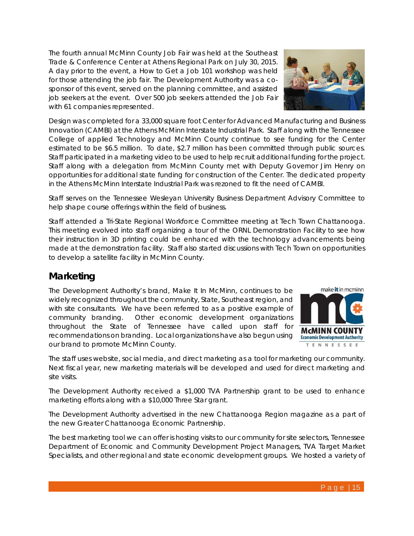The fourth annual McMinn County Job Fair was held at the Southeast Trade & Conference Center at Athens Regional Park on July 30, 2015. A day prior to the event, a How to Get a Job 101 workshop was held for those attending the job fair. The Development Authority was a cosponsor of this event, served on the planning committee, and assisted job seekers at the event. Over 500 job seekers attended the Job Fair with 61 companies represented.



Design was completed for a 33,000 square foot Center for Advanced Manufacturing and Business Innovation (CAMBI) at the Athens McMinn Interstate Industrial Park. Staff along with the Tennessee College of applied Technology and McMinn County continue to see funding for the Center estimated to be \$6.5 million. To date, \$2.7 million has been committed through public sources. Staff participated in a marketing video to be used to help recruit additional funding for the project. Staff along with a delegation from McMinn County met with Deputy Governor Jim Henry on opportunities for additional state funding for construction of the Center. The dedicated property in the Athens McMinn Interstate Industrial Park was rezoned to fit the need of CAMBI.

Staff serves on the Tennessee Wesleyan University Business Department Advisory Committee to help shape course offerings within the field of business.

Staff attended a Tri-State Regional Workforce Committee meeting at Tech Town Chattanooga. This meeting evolved into staff organizing a tour of the ORNL Demonstration Facility to see how their instruction in 3D printing could be enhanced with the technology advancements being made at the demonstration facility. Staff also started discussions with Tech Town on opportunities to develop a satellite facility in McMinn County.

#### **Marketing**

The Development Authority's brand, Make It In McMinn, continues to be widely recognized throughout the community, State, Southeast region, and with site consultants. We have been referred to as a positive example of community branding. Other economic development organizations throughout the State of Tennessee have called upon staff for recommendations on branding. Local organizations have also begun using our brand to promote McMinn County.



The staff uses website, social media, and direct marketing as a tool for marketing our community. Next fiscal year, new marketing materials will be developed and used for direct marketing and site visits.

The Development Authority received a \$1,000 TVA Partnership grant to be used to enhance marketing efforts along with a \$10,000 Three Star grant.

The Development Authority advertised in the new Chattanooga Region magazine as a part of the new Greater Chattanooga Economic Partnership.

The best marketing tool we can offer is hosting visits to our community for site selectors, Tennessee Department of Economic and Community Development Project Managers, TVA Target Market Specialists, and other regional and state economic development groups. We hosted a variety of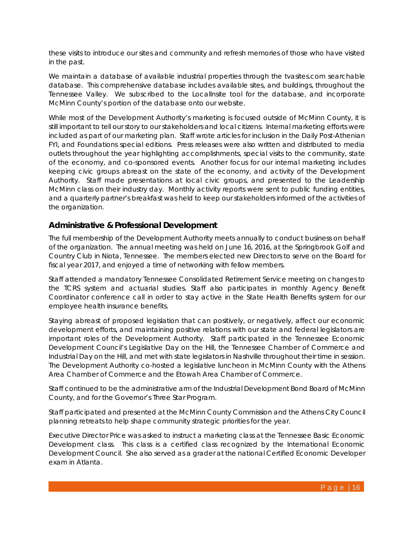these visits to introduce our sites and community and refresh memories of those who have visited in the past.

We maintain a database of available industrial properties through the tvasites.com searchable database. This comprehensive database includes available sites, and buildings, throughout the Tennessee Valley. We subscribed to the LocalInsite tool for the database, and incorporate McMinn County's portion of the database onto our website.

While most of the Development Authority's marketing is focused outside of McMinn County, it is still important to tell our story to our stakeholders and local citizens. Internal marketing efforts were included as part of our marketing plan. Staff wrote articles for inclusion in the Daily Post-Athenian FYI, and Foundations special editions. Press releases were also written and distributed to media outlets throughout the year highlighting accomplishments, special visits to the community, state of the economy, and co-sponsored events. Another focus for our internal marketing includes keeping civic groups abreast on the state of the economy, and activity of the Development Authority. Staff made presentations at local civic groups, and presented to the Leadership McMinn class on their industry day. Monthly activity reports were sent to public funding entities, and a quarterly partner's breakfast was held to keep our stakeholders informed of the activities of the organization.

#### **Administrative & Professional Development**

The full membership of the Development Authority meets annually to conduct business on behalf of the organization. The annual meeting was held on June 16, 2016, at the Springbrook Golf and Country Club in Niota, Tennessee. The members elected new Directors to serve on the Board for fiscal year 2017, and enjoyed a time of networking with fellow members.

Staff attended a mandatory Tennessee Consolidated Retirement Service meeting on changes to the TCRS system and actuarial studies. Staff also participates in monthly Agency Benefit Coordinator conference call in order to stay active in the State Health Benefits system for our employee health insurance benefits.

Staying abreast of proposed legislation that can positively, or negatively, affect our economic development efforts, and maintaining positive relations with our state and federal legislators are important roles of the Development Authority. Staff participated in the Tennessee Economic Development Council's Legislative Day on the Hill, the Tennessee Chamber of Commerce and Industrial Day on the Hill, and met with state legislators in Nashville throughout their time in session. The Development Authority co-hosted a legislative luncheon in McMinn County with the Athens Area Chamber of Commerce and the Etowah Area Chamber of Commerce.

Staff continued to be the administrative arm of the Industrial Development Bond Board of McMinn County, and for the Governor's Three Star Program.

Staff participated and presented at the McMinn County Commission and the Athens City Council planning retreats to help shape community strategic priorities for the year.

Executive Director Price was asked to instruct a marketing class at the Tennessee Basic Economic Development class. This class is a certified class recognized by the International Economic Development Council. She also served as a grader at the national Certified Economic Developer exam in Atlanta.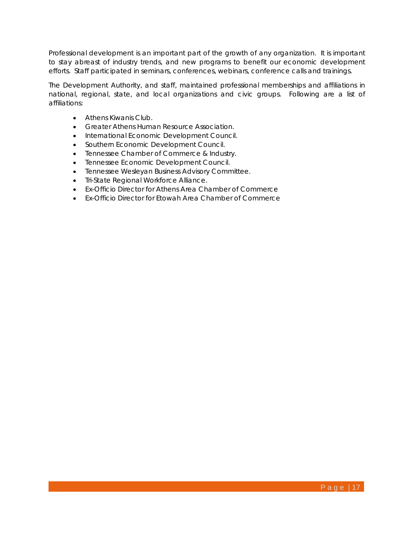Professional development is an important part of the growth of any organization. It is important to stay abreast of industry trends, and new programs to benefit our economic development efforts. Staff participated in seminars, conferences, webinars, conference calls and trainings.

The Development Authority, and staff, maintained professional memberships and affiliations in national, regional, state, and local organizations and civic groups. Following are a list of affiliations:

- Athens Kiwanis Club.
- **Greater Athens Human Resource Association.**
- International Economic Development Council.
- **•** Southern Economic Development Council.
- Tennessee Chamber of Commerce & Industry.
- Tennessee Economic Development Council.
- **•** Tennessee Wesleyan Business Advisory Committee.
- **•** Tri-State Regional Workforce Alliance.
- Ex-Officio Director for Athens Area Chamber of Commerce
- Ex-Officio Director for Etowah Area Chamber of Commerce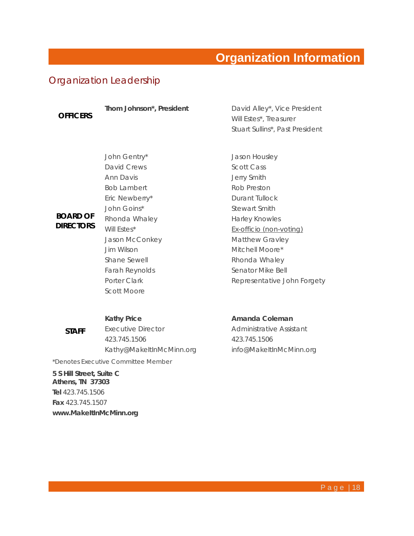### **Organization Information**

#### Organization Leadership

**OFFICERS** 

**Thom Johnson\*, President** David Alley\*, Vice President Will Estes\*, Treasurer Stuart Sullins\*, Past President

John Gentry\* David Crews Ann Davis Bob Lambert Eric Newberry\* John Goins\* Rhonda Whaley Will Estes\* Jason McConkey Jim Wilson Shane Sewell Farah Reynolds Porter Clark Scott Moore

**DIRECTORS** 

**BOARD OF** 

**Kathy Price** 

**STAFF**  Executive Director 423.745.1506 Kathy@MakeItInMcMinn.org

*\*Denotes Executive Committee Member*

**5 S Hill Street, Suite C Athens, TN 37303 Tel** 423.745.1506 **Fax** 423.745.1507 **www.MakeItInMcMinn.org** Jason Housley Scott Cass Jerry Smith Rob Preston Durant Tullock Stewart Smith Harley Knowles Ex-officio (non-voting) Matthew Gravley Mitchell Moore\* Rhonda Whaley Senator Mike Bell Representative John Forgety

**Amanda Coleman** 

Administrative Assistant 423.745.1506 info@MakeItInMcMinn.org